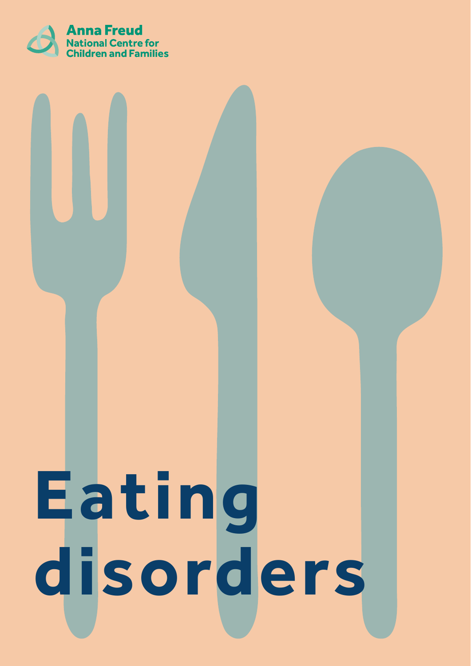

# **Eating disorders**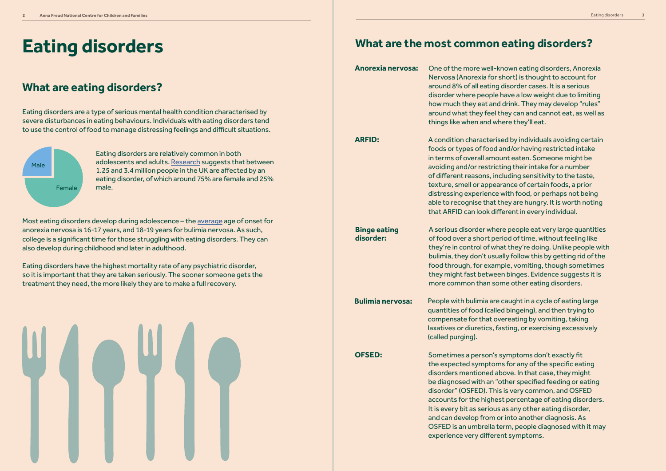# **Eating disorders**

#### **What are eating disorders?**

Eating disorders are a type of serious mental health condition characterised by severe disturbances in eating behaviours. Individuals with eating disorders tend to use the control of food to manage distressing feelings and difficult situations.

> Eating disorders are relatively common in both adolescents and adults. [Research](https://www.beateatingdisorders.org.uk/media-centre/eating-disorder-statistics/) suggests that between 1.25 and 3.4 million people in the UK are affected by an eating disorder, of which around 75% are female and 25% male.



Most eating disorders develop during adolescence – the [average](https://www.priorygroup.com/eating-disorders/eating-disorder-statistics) age of onset for anorexia nervosa is 16-17 years, and 18-19 years for bulimia nervosa. As such, college is a significant time for those struggling with eating disorders. They can also develop during childhood and later in adulthood.

Eating disorders have the highest mortality rate of any psychiatric disorder, so it is important that they are taken seriously. The sooner someone gets the treatment they need, the more likely they are to make a full recovery.



#### **What are the most common eating disorders?**

One of the more well-known eating disorders, Anorexia Nervosa (Anorexia for short) is thought to account for around 8% of all eating disorder cases. It is a serious disorder where people have a low weight due to limiting how much they eat and drink. They may develop "rules" around what they feel they can and cannot eat, as well as things like when and where they'll eat.

**Anorexia nervosa:**

A condition characterised by individuals avoiding certain foods or types of food and/or having restricted intake in terms of overall amount eaten. Someone might be avoiding and/or restricting their intake for a number of different reasons, including sensitivity to the taste, texture, smell or appearance of certain foods, a prior distressing experience with food, or perhaps not being able to recognise that they are hungry. It is worth noting that ARFID can look different in every individual.

**ARFID:**

A serious disorder where people eat very large quantities of food over a short period of time, without feeling like they're in control of what they're doing. Unlike people with bulimia, they don't usually follow this by getting rid of the food through, for example, vomiting, though sometimes they might fast between binges. Evidence suggests it is more common than some other eating disorders.

**Binge eating disorder:**

> People with bulimia are caught in a cycle of eating large quantities of food (called bingeing), and then trying to compensate for that overeating by vomiting, taking laxatives or diuretics, fasting, or exercising excessively (called purging).

**Bulimia nervosa:**

Sometimes a person's symptoms don't exactly fit the expected symptoms for any of the specific eating disorders mentioned above. In that case, they might be diagnosed with an "other specified feeding or eating disorder" (OSFED). This is very common, and OSFED accounts for the highest percentage of eating disorders. It is every bit as serious as any other eating disorder, and can develop from or into another diagnosis. As OSFED is an umbrella term, people diagnosed with it may experience very different symptoms.

**OFSED:**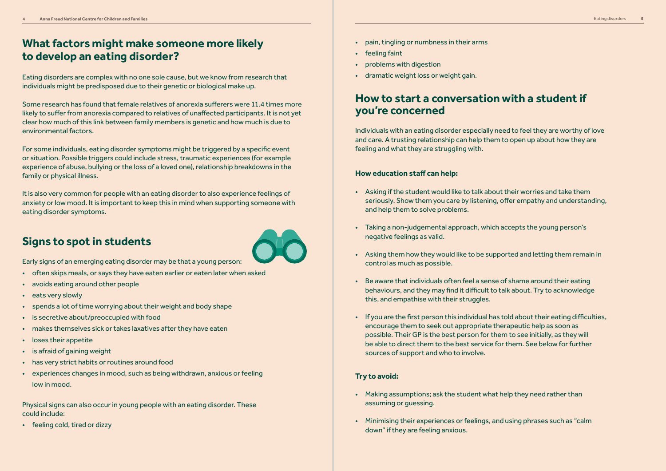## **Signs to spot in students**

Early signs of an emerging eating disorder may be that a young person:

- often skips meals, or says they have eaten earlier or eaten later when asked
- avoids eating around other people
- eats very slowly
- spends a lot of time worrying about their weight and body shape
- is secretive about/preoccupied with food
- makes themselves sick or takes laxatives after they have eaten
- loses their appetite
- is afraid of gaining weight
- has very strict habits or routines around food
- experiences changes in mood, such as being withdrawn, anxious or feeling low in mood.

Physical signs can also occur in young people with an eating disorder. These could include:

• feeling cold, tired or dizzy



### **What factors might make someone more likely to develop an eating disorder?**

Eating disorders are complex with no one sole cause, but we know from research that individuals might be predisposed due to their genetic or biological make up.

Some research has found that female relatives of anorexia sufferers were 11.4 times more likely to suffer from anorexia compared to relatives of unaffected participants. It is not yet clear how much of this link between family members is genetic and how much is due to environmental factors.

For some individuals, eating disorder symptoms might be triggered by a specific event or situation. Possible triggers could include stress, traumatic experiences (for example experience of abuse, bullying or the loss of a loved one), relationship breakdowns in the family or physical illness.

It is also very common for people with an eating disorder to also experience feelings of anxiety or low mood. It is important to keep this in mind when supporting someone with eating disorder symptoms.

Individuals with an eating disorder especially need to feel they are worthy of love and care. A trusting relationship can help them to open up about how they are feeling and what they are struggling with.

#### **How education staff can help:**

- Asking if the student would like to talk about their worries and take them seriously. Show them you care by listening, offer empathy and understanding, and help them to solve problems.
- Taking a non-judgemental approach, which accepts the young person's negative feelings as valid.
- Asking them how they would like to be supported and letting them remain in control as much as possible.
- Be aware that individuals often feel a sense of shame around their eating behaviours, and they may find it difficult to talk about. Try to acknowledge this, and empathise with their struggles.
- If you are the first person this individual has told about their eating difficulties, encourage them to seek out appropriate therapeutic help as soon as possible. Their GP is the best person for them to see initially, as they will be able to direct them to the best service for them. See below for further sources of support and who to involve.

#### **Try to avoid:**

- Making assumptions; ask the student what help they need rather than assuming or guessing.
- Minimising their experiences or feelings, and using phrases such as "calm down" if they are feeling anxious.

#### **How to start a conversation with a student if you're concerned**

- pain, tingling or numbness in their arms
- feeling faint
- problems with digestion
- dramatic weight loss or weight gain.